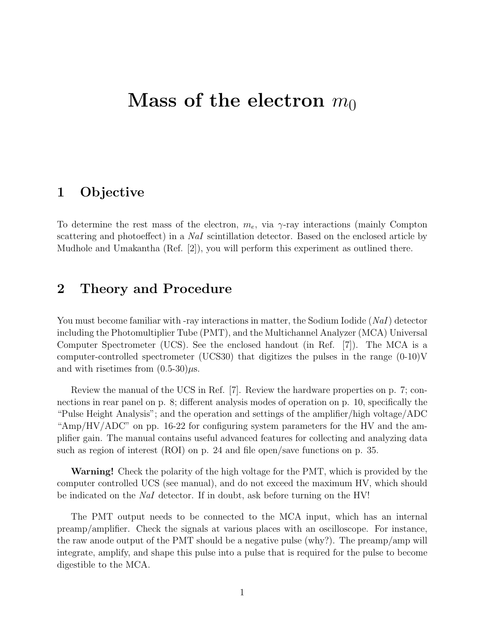# Mass of the electron  $m_0$

### 1 Objective

To determine the rest mass of the electron,  $m_e$ , via  $\gamma$ -ray interactions (mainly Compton scattering and photoeffect) in a NaI scintillation detector. Based on the enclosed article by Mudhole and Umakantha (Ref. [2]), you will perform this experiment as outlined there.

## 2 Theory and Procedure

You must become familiar with -ray interactions in matter, the Sodium Iodide  $(NaI)$  detector including the Photomultiplier Tube (PMT), and the Multichannel Analyzer (MCA) Universal Computer Spectrometer (UCS). See the enclosed handout (in Ref. [7]). The MCA is a computer-controlled spectrometer (UCS30) that digitizes the pulses in the range  $(0-10)V$ and with risetimes from  $(0.5-30)\mu s$ .

Review the manual of the UCS in Ref. [7]. Review the hardware properties on p. 7; connections in rear panel on p. 8; different analysis modes of operation on p. 10, specifically the "Pulse Height Analysis"; and the operation and settings of the amplifier/high voltage/ADC "Amp/HV/ADC" on pp. 16-22 for configuring system parameters for the HV and the amplifier gain. The manual contains useful advanced features for collecting and analyzing data such as region of interest (ROI) on p. 24 and file open/save functions on p. 35.

Warning! Check the polarity of the high voltage for the PMT, which is provided by the computer controlled UCS (see manual), and do not exceed the maximum HV, which should be indicated on the NaI detector. If in doubt, ask before turning on the HV!

The PMT output needs to be connected to the MCA input, which has an internal preamp/amplifier. Check the signals at various places with an oscilloscope. For instance, the raw anode output of the PMT should be a negative pulse (why?). The preamp/amp will integrate, amplify, and shape this pulse into a pulse that is required for the pulse to become digestible to the MCA.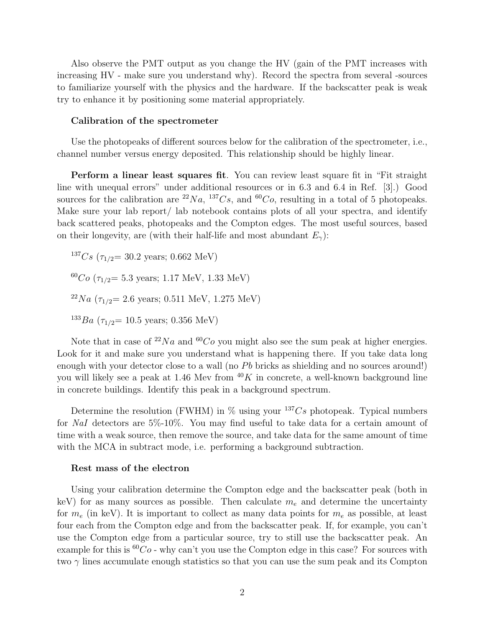Also observe the PMT output as you change the HV (gain of the PMT increases with increasing HV - make sure you understand why). Record the spectra from several -sources to familiarize yourself with the physics and the hardware. If the backscatter peak is weak try to enhance it by positioning some material appropriately.

#### Calibration of the spectrometer

Use the photopeaks of different sources below for the calibration of the spectrometer, i.e., channel number versus energy deposited. This relationship should be highly linear.

Perform a linear least squares fit. You can review least square fit in "Fit straight line with unequal errors" under additional resources or in 6.3 and 6.4 in Ref. [3].) Good sources for the calibration are <sup>22</sup>Na, <sup>137</sup>Cs, and <sup>60</sup>Co, resulting in a total of 5 photopeaks. Make sure your lab report/ lab notebook contains plots of all your spectra, and identify back scattered peaks, photopeaks and the Compton edges. The most useful sources, based on their longevity, are (with their half-life and most abundant  $E_{\gamma}$ ):

 $137Cs$  ( $\tau_{1/2}$  = 30.2 years; 0.662 MeV)  $60Co$  ( $\tau_{1/2}$  = 5.3 years; 1.17 MeV, 1.33 MeV) <sup>22</sup>Na ( $\tau_{1/2}$  = 2.6 years; 0.511 MeV, 1.275 MeV)  $^{133}Ba$  ( $\tau_{1/2}$  = 10.5 years; 0.356 MeV)

Note that in case of  $^{22}Na$  and  $^{60}Co$  you might also see the sum peak at higher energies. Look for it and make sure you understand what is happening there. If you take data long enough with your detector close to a wall (no  $Pb$  bricks as shielding and no sources around!) you will likely see a peak at 1.46 Mev from  $^{40}K$  in concrete, a well-known background line

in concrete buildings. Identify this peak in a background spectrum.

Determine the resolution (FWHM) in  $\%$  using your  $^{137}Cs$  photopeak. Typical numbers for NaI detectors are 5%-10%. You may find useful to take data for a certain amount of time with a weak source, then remove the source, and take data for the same amount of time with the MCA in subtract mode, i.e. performing a background subtraction.

#### Rest mass of the electron

Using your calibration determine the Compton edge and the backscatter peak (both in keV) for as many sources as possible. Then calculate  $m_e$  and determine the uncertainty for  $m_e$  (in keV). It is important to collect as many data points for  $m_e$  as possible, at least four each from the Compton edge and from the backscatter peak. If, for example, you can't use the Compton edge from a particular source, try to still use the backscatter peak. An example for this is  ${}^{60}Co$  - why can't you use the Compton edge in this case? For sources with two  $\gamma$  lines accumulate enough statistics so that you can use the sum peak and its Compton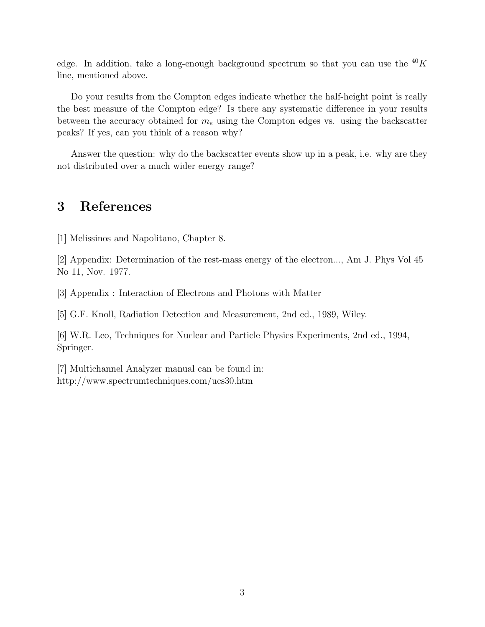edge. In addition, take a long-enough background spectrum so that you can use the  $^{40}K$ line, mentioned above.

Do your results from the Compton edges indicate whether the half-height point is really the best measure of the Compton edge? Is there any systematic difference in your results between the accuracy obtained for  $m_e$  using the Compton edges vs. using the backscatter peaks? If yes, can you think of a reason why?

Answer the question: why do the backscatter events show up in a peak, i.e. why are they not distributed over a much wider energy range?

### 3 References

[1] Melissinos and Napolitano, Chapter 8.

[2] Appendix: Determination of the rest-mass energy of the electron..., Am J. Phys Vol 45 No 11, Nov. 1977.

[3] Appendix : Interaction of Electrons and Photons with Matter

[5] G.F. Knoll, Radiation Detection and Measurement, 2nd ed., 1989, Wiley.

[6] W.R. Leo, Techniques for Nuclear and Particle Physics Experiments, 2nd ed., 1994, Springer.

[7] Multichannel Analyzer manual can be found in: http://www.spectrumtechniques.com/ucs30.htm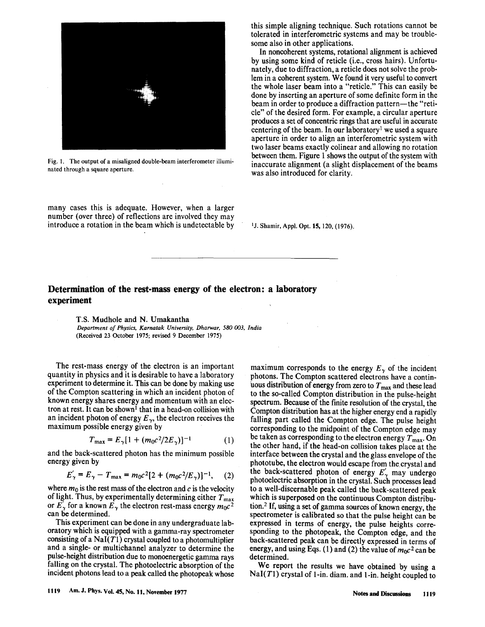

Fig. 1. The output of a misaligned double-beam interferometer illuminated through a square aperture.

many cases this is adequate. However, when a larger number (over three) of reflections are involved they may introduce a rotation in the beam which is undetectable by this simple aligning technique. Such rotations cannot be tolerated in interferometric systems and may be troublesome also in other applications.

In noncoherent systems, rotational alignment is achieved by using some kind of reticle (*i.e.*, cross hairs). Unfortunately, due to diffraction, a reticle does not solve the problem in a coherent system. We found it very useful to convert the whole laser beam into a "reticle." This can easily be done by inserting an aperture of some definite form in the beam in order to produce a diffraction pattern-the "reticle" of the desired form. For example, a circular aperture produces a set of concentric rings that are useful in accurate centering of the beam. In our laboratory<sup>1</sup> we used a square aperture in order to align an interferometric system with two laser beams exactly colinear and allowing no rotation between them. Figure 1 shows the output of the system with inaccurate alignment (a slight displacement of the beams was also introduced for clarity.

<sup>1</sup>J. Shamir, Appl. Opt. **15**, 120, (1976).

### Determination of the rest-mass energy of the electron: a laboratory experiment

T.S. Mudhole and N. Umakantha Department of Physics, Karnatak University, Dharwar, 580 003, India (Received 23 October 1975; revised 9 December 1975)

The rest-mass energy of the electron is an important quantity in physics and it is desirable to have a laboratory experiment to determine it. This can be done by making use of the Compton scattering in which an incident photon of known energy shares energy and momentum with an electron at rest. It can be shown<sup>1</sup> that in a head-on collision with an incident photon of energy  $E_{\gamma}$ , the electron receives the maximum possible energy given by

$$
T_{\text{max}} = E_{\gamma} [1 + (m_0 c^2 / 2E_{\gamma})]^{-1}
$$
 (1)

and the back-scattered photon has the minimum possible energy given by

$$
E'_{\gamma} = E_{\gamma} - T_{\text{max}} = m_0 c^2 [2 + (m_0 c^2 / E_{\gamma})]^{-1}, \quad (2)
$$

where  $m_0$  is the rest mass of the electron and c is the velocity of light. Thus, by experimentally determining either  $T_{\text{max}}$ or  $E'_{\gamma}$  for a known  $E_{\gamma}$  the electron rest-mass energy  $m_0c^2$ can be determined.

This experiment can be done in any undergraduate laboratory which is equipped with a gamma-ray spectrometer consisting of a  $\text{NaI}(T1)$  crystal coupled to a photomultiplier and a single- or multichannel analyzer to determine the pulse-height distribution due to monoenergetic gamma rays falling on the crystal. The photoelectric absorption of the incident photons lead to a peak called the photopeak whose

maximum corresponds to the energy  $E_{\gamma}$  of the incident photons. The Compton scattered electrons have a continuous distribution of energy from zero to  $T_{\text{max}}$  and these lead to the so-called Compton distribution in the pulse-height spectrum. Because of the finite resolution of the crystal, the Compton distribution has at the higher energy end a rapidly falling part called the Compton edge. The pulse height corresponding to the midpoint of the Compton edge may be taken as corresponding to the electron energy  $T_{\text{max}}$ . On the other hand, if the head-on collision takes place at the interface between the crystal and the glass envelope of the phototube, the electron would escape from the crystal and the back-scattered photon of energy  $E'_{\gamma}$  may undergo photoelectric absorption in the crystal. Such processes lead to a well-discernable peak called the back-scattered peak which is superposed on the continuous Compton distribution.<sup>2</sup> If, using a set of gamma sources of known energy, the spectrometer is calibrated so that the pulse height can be expressed in terms of energy, the pulse heights corresponding to the photopeak, the Compton edge, and the back-scattered peak can be directly expressed in terms of energy, and using Eqs. (1) and (2) the value of  $m_0c^2$  can be determined.

We report the results we have obtained by using a  $NaI(T1)$  crystal of 1-in. diam. and 1-in. height coupled to